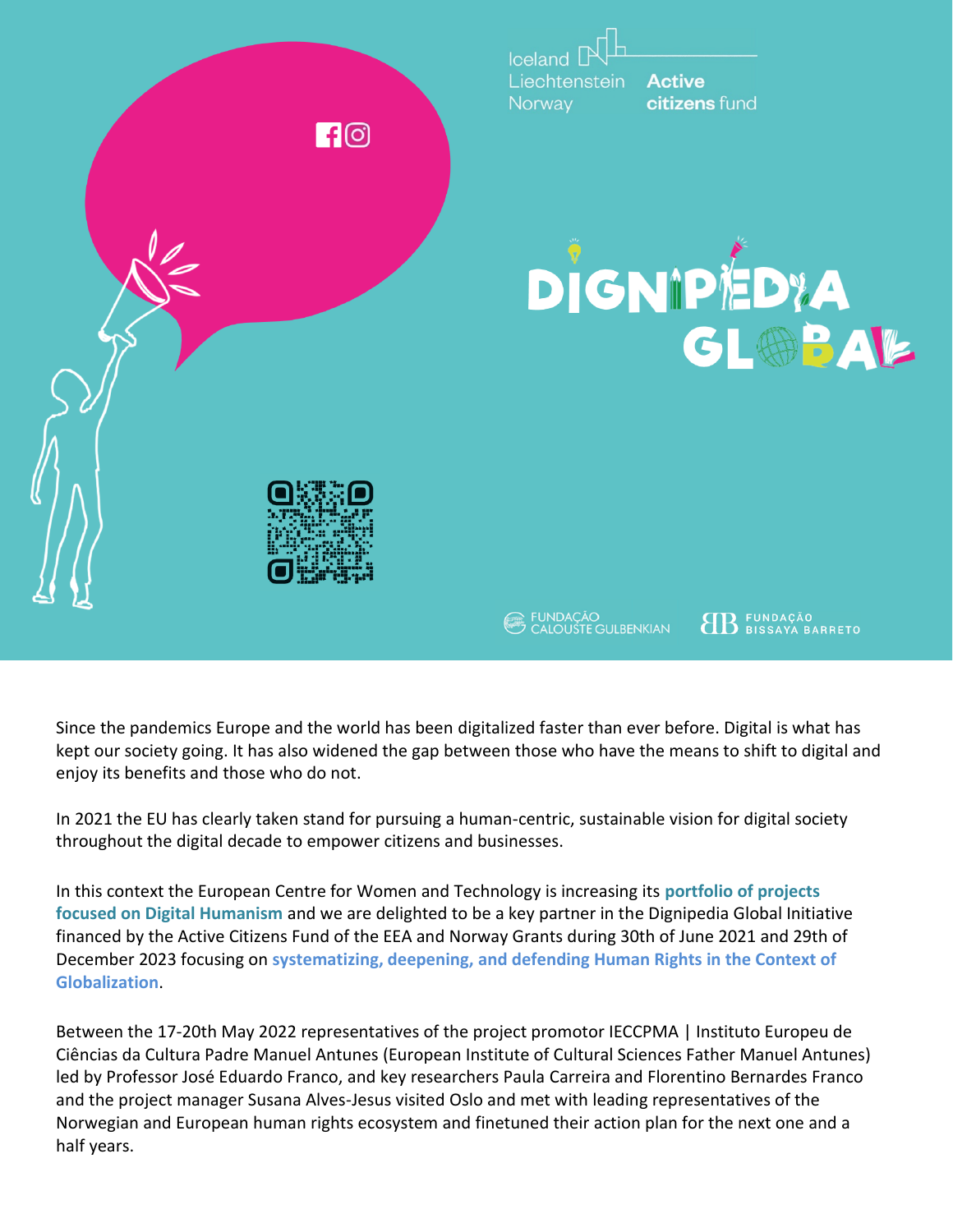

Since the pandemics Europe and the world has been digitalized faster than ever before. Digital is what has kept our society going. It has also widened the gap between those who have the means to shift to digital and enjoy its benefits and those who do not.

In 2021 the EU has clearly taken stand for pursuing a human-centric, sustainable vision for digital society throughout the digital decade to empower citizens and businesses.

In this context the European Centre for Women and Technology is increasing its **portfolio of projects focused on Digital Humanism** and we are delighted to be a key partner in the Dignipedia Global Initiative financed by the Active Citizens Fund of the EEA and Norway Grants during 30th of June 2021 and 29th of December 2023 focusing on **systematizing, deepening, and defending Human Rights in the Context of Globalization**.

Between the 17-20th May 2022 representatives of the project promotor IECCPMA | Instituto Europeu de Ciências da Cultura Padre Manuel Antunes (European Institute of Cultural Sciences Father Manuel Antunes) led by Professor José Eduardo Franco, and key researchers Paula Carreira and Florentino Bernardes Franco and the project manager Susana Alves-Jesus visited Oslo and met with leading representatives of the Norwegian and European human rights ecosystem and finetuned their action plan for the next one and a half years.